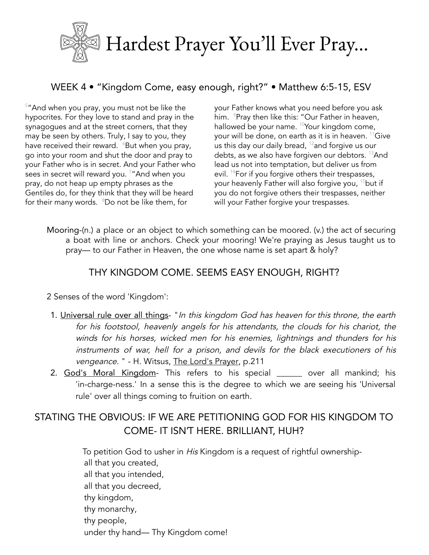

## WEEK 4 • "Kingdom Come, easy enough, right?" • Matthew 6:5-15, ESV

<sup>5</sup> "And when you pray, you must not be like the hypocrites. For they love to stand and pray in the synagogues and at the street corners, that they may be seen by others. Truly, I say to you, they have received their reward.  $\,{}^{\circ}$ But when you pray, go into your room and shut the door and pray to your Father who is in secret. And your Father who sees in secret will reward you. <sup>7</sup>"And when you pray, do not heap up empty phrases as the Gentiles do, for they think that they will be heard for their many words. <sup>8</sup>Do not be like them, for

your Father knows what you need before you ask him. <sup>9</sup>Pray then like this: "Our Father in heaven, hallowed be your name. <sup>10</sup>Your kingdom come, your will be done, on earth as it is in heaven. <sup>11</sup>Give us this day our daily bread,  $^{12}$ and forgive us our debts, as we also have forgiven our debtors. <sup>13</sup>And lead us not into temptation, but deliver us from evil. <sup>14</sup>For if you forgive others their trespasses, your heavenly Father will also forgive you, <sup>15</sup>but if you do not forgive others their trespasses, neither will your Father forgive your trespasses.

Mooring-(n.) a place or an object to which something can be moored. (v.) the act of securing a boat with line or anchors. Check your mooring! We're praying as Jesus taught us to pray— to our Father in Heaven, the one whose name is set apart & holy?

#### THY KINGDOM COME. SEEMS EASY ENOUGH, RIGHT?

2 Senses of the word 'Kingdom':

- 1. Universal rule over all things- "In this kingdom God has heaven for this throne, the earth for his footstool, heavenly angels for his attendants, the clouds for his chariot, the winds for his horses, wicked men for his enemies, lightnings and thunders for his instruments of war, hell for <sup>a</sup> prison, and devils for the black executioners of his vengeance. " - H. Witsus, The Lord's Prayer, p.211
- 2. God's Moral Kingdom- This refers to his special \_\_\_\_\_ over all mankind; his 'in-charge-ness.' In a sense this is the degree to which we are seeing his 'Universal rule' over all things coming to fruition on earth.

# STATING THE OBVIOUS: IF WE ARE PETITIONING GOD FOR HIS KINGDOM TO COME- IT ISN'T HERE. BRILLIANT, HUH?

To petition God to usher in His Kingdom is a request of rightful ownershipall that you created, all that you intended, all that you decreed, thy kingdom, thy monarchy, thy people, under thy hand— Thy Kingdom come!